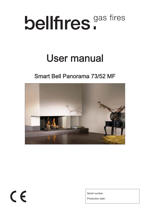# bellfires.<sup>gas fires</sup>

## User manual

## Smart Bell Panorama 73/52 MF



## $\epsilon$

Serial number:

Production date: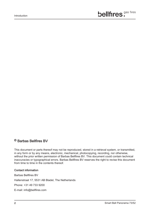#### © Barbas Bellfires BV

This document or parts thereof may not be reproduced, stored in a retrieval system, or transmitted, in any form or by any means, electronic, mechanical, photocopying, recording, nor otherwise, without the prior written permission of Barbas Bellfires BV. This document could contain technical inaccuracies or typographical errors. Barbas Bellfires BV reserves the right to revise this document

from time to time in the contents thereof.

#### Contact information

Barbas Bellfires BV

Hallenstraat 17, 5531 AB Bladel, The Netherlands

Phone: +31 49 733 9200

E-mail: info@bellfires.com

Introduction

## bellfires.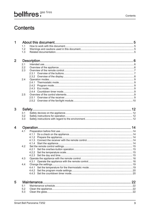Contents

## bellfires.

## **Contents**

| $\overline{2}$ |                |  |
|----------------|----------------|--|
|                | 2 <sub>1</sub> |  |
|                | 2.2            |  |
|                | 2.3            |  |
|                |                |  |
|                |                |  |
|                | 2.4            |  |
|                |                |  |
|                |                |  |
|                |                |  |
|                |                |  |
|                | 2.5            |  |
|                |                |  |
|                |                |  |

| 4 |     |  |  |
|---|-----|--|--|
|   | 4.1 |  |  |
|   |     |  |  |
|   |     |  |  |
|   |     |  |  |
|   |     |  |  |
|   | 4.2 |  |  |
|   |     |  |  |
|   |     |  |  |
|   |     |  |  |
|   | 4.3 |  |  |
|   |     |  |  |
|   | 4.4 |  |  |
|   |     |  |  |
|   |     |  |  |
|   |     |  |  |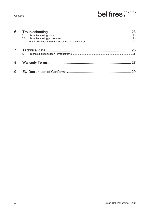| 6              |     | 23 |
|----------------|-----|----|
|                | 6.1 |    |
|                | 6.2 |    |
|                |     |    |
| $\overline{7}$ |     | 25 |
|                |     |    |
| 8              |     |    |
| 9              |     |    |
|                |     |    |

 $\overline{4}$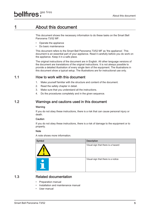### 1 About this document

This document shows the necessary information to do these tasks on the Smart Bell Panorama 73/52 MF:

- Operate the appliance
- Do basic maintenance

This document refers to the Smart Bell Panorama 73/52 MF as 'the appliance'. This document is an essential part of your appliance. Read it carefully before you do work on the appliance. Keep it in a safe place.

The original instructions of the document are in English. All other language versions of the document are translations of the original instructions. It is not always possible to provide a detailed illustration of every single item of the equipment. The illustrations in this document show a typical setup. The illustrations are for instructional use only.

- Preparation manual
- Installation and maintenance manual
- User manual

#### 1.1 How to work with this document

- 1. Make yourself familiar with the structure and content of the document.
- 2. Read the safety chapter in detail.
- 3. Make sure that you understand all the instructions.
- 4. Do the procedures completely and in the given sequence.

#### 1.2 Warnings and cautions used in this document

#### Warning

If you do not obey these instructions, there is a risk that can cause personal injury or death.

#### **Caution**

If you do not obey these instructions, there is a risk of damage to the equipment or to property.

#### **Note**

A note shows more information.

| Symbol | <b>Description</b>                 |
|--------|------------------------------------|
|        | Visual sign that there is a hazard |
|        | Visual sign that there is a notice |



#### 1.3 Related documentation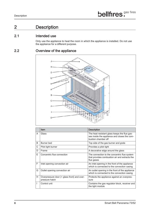### 2 Description

#### 2.1 Intended use

Only use the appliance to heat the room in which the appliance is installed. Do not use the appliance for a different purpose.

#### 2.2 Overview of the appliance



|   | <b>Item</b>                                                   | <b>Description</b>                                                                                                  |
|---|---------------------------------------------------------------|---------------------------------------------------------------------------------------------------------------------|
| A | Glass                                                         | The heat resistant glass keeps the flue gas-<br>ses inside the appliance and closes the com-<br>bustion chamber off |
| B | Burner bed                                                    | Top side of the gas burner and grate                                                                                |
| C | Pilot light burner                                            | Provides a pilot light                                                                                              |
| D | Frame                                                         | A decorative edge around the glass                                                                                  |
| E | Concentric flue connection                                    | The connection to the concentric flue system<br>that provides combustion air and extracts the<br>flue gases         |
| F | Inlet opening convection air                                  | An inlet opening in the front of the appliance<br>which is connected to the convection casing                       |
| G | Outlet opening convection air                                 | An outlet opening in the front of the appliance<br>which is connected to the convection casing                      |
| Н | Overpressure door (= glass front) and over-<br>pressure hatch | Protects the appliance against an overpres-<br>sure                                                                 |
|   | Control unit                                                  | Contains the gas regulator block, receiver and<br>the light module                                                  |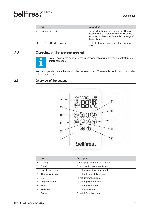| Item                  | <b>Description</b>                                                                                                                                             |
|-----------------------|----------------------------------------------------------------------------------------------------------------------------------------------------------------|
| Convection casing     | Collects the heated convection air. The con-<br>vection air has a natural upward flow and is<br>extracted by the upper front side openings of<br>the appliance |
| DO NOT COVER openings | Protects the appliance against an overpres-<br>sure                                                                                                            |

You can operate the appliance with the remote control. The remote control communicates with the receiver.

#### 2.3 Overview of the remote control



Note: The remote control is not interchangeable with a remote control from a different model.

#### 2.3.1 Overview of the buttons



| A                        | <b>Display</b>    | The display of the remote control. |
|--------------------------|-------------------|------------------------------------|
| B                        | On/off            | To start and stop the appliance.   |
| $\mathsf C$              | Countdown timer   | To set to countdown timer mode.    |
| D                        | Thermostatic mode | To set to thermostatic mode.       |
| Е                        | Up                | To set different options.          |
| F                        | Program mode      | To set to program mode.            |
| G                        | <b>Burner</b>     | To set the burner mode.            |
| H                        | Eco mode          | To set to eco mode.                |
| $\overline{\phantom{a}}$ | Down              | To set different options.          |

**Item Description**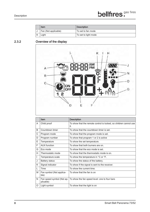| Item                 | Description          |
|----------------------|----------------------|
| Fan (Not applicable) | To set to fan mode   |
| Light                | To set to light mode |

#### 2.3.2 Overview of the display



|    | <b>Item</b>                            | <b>Description</b>                                                       |
|----|----------------------------------------|--------------------------------------------------------------------------|
| A  | Child proof                            | To show that the remote control is locked, so children cannot use<br>it. |
| B  | Countdown timer                        | To show that the countdown timer is set.                                 |
| С  | Program mode                           | To show that the program mode is set.                                    |
| D  | Program number                         | To show that program 1 or 2 is active                                    |
| Е  | Temperature                            | To show the set temperature.                                             |
| F  | <b>AUX</b> function                    | To show that both burners are on.                                        |
| G  | Eco mode                               | To show that the eco mode is set.                                        |
| H. | Thermostatic mode                      | To show that the thermostatic mode is on.                                |
| I. | Temperature scale                      | To show the temperature in $^{\circ}$ C or $^{\circ}$ F.                 |
| J  | <b>Battery status</b>                  | To show the status of the battery.                                       |
| K  | Signal indicator                       | To show if the signal is sent to the receiver.                           |
| L  | <b>Time</b>                            | To show the current time.                                                |
| M  | Fan symbol (Not applica-<br>ble)       | To show that the fan is on                                               |
| N  | Fan speed symbol (Not ap-<br>plicable) | To show the fan speed level: one to four bars                            |
| O  | Light symbol                           | To show that the light is on                                             |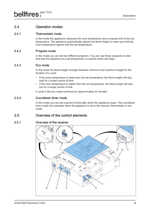#### 2.4 Operation modes

#### 2.4.1 Thermostatic mode

In this mode the appliance measures the room temperature and compares this to the set temperature. The appliance automatically adjusts the flame height to make sure that the room temperature agrees with the set temperature.

#### 2.4.2 Program mode

In this mode you can set two different programs. You can use these programs to start and stop the appliance at a set temperature on specific times and days.

#### 2.4.3 Eco mode

In this mode the flame height changes between minimum and maximum height for the duration of a cycle:

In this mode you can set a period of time after which the appliance stops. The countdown timer mode only operates when the appliance is set to the manual, thermostatic or eco mode.

- If the room temperature is lower than the set temperature, the flame height will stay high for a longer period of time.
- If the room temperature is higher than the set temperature, the flame height will stay low for a longer period of time.

A cycle in the eco mode continues for approximately 20 minutes.

#### 2.4.4 Countdown timer mode

#### 2.5 Overview of the control elements

#### 2.5.1 Overview of the receiver

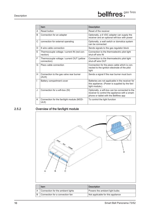|             | <b>Item</b>                                               | <b>Description</b>                                                                                                                          |
|-------------|-----------------------------------------------------------|---------------------------------------------------------------------------------------------------------------------------------------------|
| A           | <b>Reset button</b>                                       | Reset of the receiver                                                                                                                       |
| B           | Connection for an adapter                                 | Optionally, a 6 VDC adapter can supply the<br>receiver and an optional wifi-box with power                                                  |
| $\mathsf C$ | connection for external operating                         | Optionally, a wall switch or domotica system<br>can be connected                                                                            |
| D           | 8 wire cable connection                                   | Sends signals to the gas regulator block                                                                                                    |
| E.          | Thermocouple voltage / current IN (red con-<br>nection)   | Connection to the thermoelectric pilot light<br>shut-off wire IN                                                                            |
| F           | Thermocouple voltage / current OUT (yellow<br>connection) | Connection to the thermoelectric pilot light<br>shut-off wire OUT                                                                           |
| G           | Piezo cable connection                                    | Connection for the piezo cable which is con-<br>nected to the ignition electrode of the pilot<br>light                                      |
| H           | Connection to the gas valve rear burner<br>(AUX)          | Sends a signal if the rear burner must burn                                                                                                 |
|             | Battery compartment cover                                 | Batteries are not applicable in the receiver for<br>this appliance. (Power is supplied by the fan/<br>light module.)                        |
| J           | Connection for a wifi-box (SI)                            | Optionally, a wifi-box can be connected to the<br>receiver to control the appliance with a smart-<br>phone or tablet with the Bellfires app |
| K           | Connection for the fan/light module (MOD-<br>ULE)         | To control the light function                                                                                                               |

#### 2.5.2 Overview of the fan/light module





| Item                              | <b>Description</b>                |
|-----------------------------------|-----------------------------------|
| Connection for the ambient lights | Powers the ambient light bulbs    |
| Connection for a convection fan   | Not applicable for this appliance |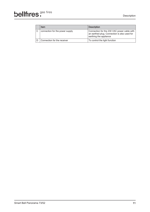| <b>Item</b>                     | <b>Description</b>                                                                                                    |
|---------------------------------|-----------------------------------------------------------------------------------------------------------------------|
| connection for the power supply | Connection for the 230 VAC power cable with<br>an earthed plug. Connection is also used for<br>earthing the appliance |
| Connection for the receiver     | To control the light function                                                                                         |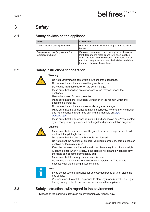## 3 Safety

#### 3.1 Safety devices on the appliance

| <b>Name</b>                                                 | <b>Description</b>                                                                                                                                                                                                                                                  |
|-------------------------------------------------------------|---------------------------------------------------------------------------------------------------------------------------------------------------------------------------------------------------------------------------------------------------------------------|
| Thermo-electric pilot light shut off                        | Prevents unforseen discharge of gas from the main<br>burner.                                                                                                                                                                                                        |
| Overpressure door (= glass front) and<br>overpressure hatch | If an overpressure occurs in the appliance, the glass<br>front door and the hatch opens for a short duration.<br>When the door and hatch opens, a loud noise can oc-<br>cur. If an overpressure occurs, the installer must do a<br>thorough check on the appliance. |

#### 3.2 Safety instructions for operation



#### Warning:

- Do not put flammable items within 100 cm of the appliance.
- Do not use the appliance when the glass is removed.
- Do not use flammable fuels on the ceramic logs.
- Make sure that children are supervised when they can reach the appliance.
- Use a fire screen for heat protection.
- Make sure that there is sufficient ventilation in the room in which the appliance is installed.
- Do not use the appliance is case of visual glass damage.
- Make sure that the appliance is installed correctly. Refer to the Installation and Maintenance manual. You can find the manuals on *http://* bellfires.com .
- Make sure that the appliance is installed and connected as a 'room sealed system' appliance by a certified and registered gas installation engineer.

#### Caution:



- Make sure that embers, vermiculite granules, ceramic logs or pebbles do not touch the pilot light burner.
- Make sure that the pilot light burner is not blocked.
- Do not adjust the position of embers, vermiculite granules, ceramic logs or pebbles on the main burner.
- Keep the remote control in a dry and cool place away from direct sunlight.
- Clean the glass when it is dirty. If the glass is not cleaned when it is dirty the glass can become permanently dull.
- Make sure that the yearly maintenance is done.
- Do not use the appliance for 4 weeks after installation. This time is necessary for the building materials to set.



- If you do not use the appliance for an extended period of time, close the gas supply.
- We recommend to set the appliance to stand-by mode (only the pilot light burns) during winter to prevent condensation in the appliance.

#### 3.3 Safety instructions with regard to the environment

• Dispose of the packing materials in an environmentally friendly way.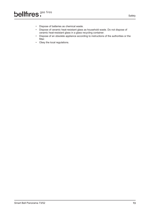- Dispose of batteries as chemical waste.
- Dispose of ceramic heat-resistant glass as household waste. Do not dispose of ceramic heat-resistant glass in a glass recycling container.
- Dispose of an obsolete appliance according to instructions of the authorities or the fitter.
- Obey the local regulations.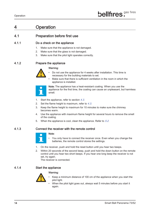## 4 Operation

#### 4.1 Preparation before first use

#### 4.1.1 Do a check on the appliance

- 1. Make sure that the appliance is not damaged.
- 2. Make sure that the glass is not damaged.
- 3. Make sure that the pilot light operates correctly.

#### 4.1.2 Prepare the appliance



#### Warning:

- Do not use the appliance for 4 weeks after installation. This time is necessary for the building materials to set.
- Make sure that there is sufficient ventilation in the room in which the appliance is installed.



Note: The appliance has a heat-resistant coating. When you use the appliance for the first time, the coating can cause an unpleasant, but harmless smell.

- 1. Start the appliance, refer to section 4.3.
- 2. Set the flame height to maximum, refer to  $4.3$ .
- 3. Keep the flame height to maximum for 10 minutes to make sure the chimney becomes warm.
- 4. Use the appliance with maximum flame height for several hours to remove the smell of the coating.
- 5. When the appliance is cool, clean the appliance. Refer to 5.2.

- $\overline{\mathcal{C}}$ 
	- You only have to connect the receiver once. Even when you change the batteries, the remote control stores the settings.
- 1. On the receiver, push and hold the reset button until you hear two beeps.
- 2. Within 20 seconds of the second beep, push and hold the down button on the remote control until you hear two short beeps. If you hear one long beep the receiver is not set, try again.

#### 4.1.3 Connect the receiver with the remote control

#### Note:

The receiver is connected.

#### 4.1.4 Start the appliance



#### Warning:

- Keep a minimum distance of 100 cm of the appliance when you start the pilot light.
- When the pilot light goes out, always wait 5 minutes before you start it again.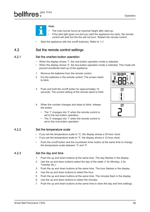

#### Note:

- The main burner burns at maximal height after start-up.
- If the pilot light goes out and you start the appliance too early, the remote control will start but the fire will not burn. Restart the remote control.
- Start the appliance with the on/off button(s). Refer to 4.3.

#### 4.2 Set the remote control settings

#### 4.2.1 Set the one/two-button operation

- When the display shows '1', the one-button operation mode is selected.
- When the display shows '2', the two-button operation mode is selected. This mode will prevent accidental start-up of the appliance.
- 1. Remove the batteries from the remote control.
- 2. Put the batteries in the remote control. The screen starts to blink.
- 3. Push and hold the on/off button for approximately 10 seconds. The current setting of the remote starts to blink
- 4. When the number changes and stops to blink, release the button.
	- The '1' changes into '2' when the remote control is set to the two-button operation.
	- The '2' changes into '1' when the remote control is set to the one-button operation.

- If you set the temperature scale to  $^{\circ}$ C, the display shows a 24-hour clock.
- If you set the temperature scale to  ${}^{\circ}$ F, the display shows a 12-hour clock.
- Push the on/off button and the countdown timer button at the same time to change the temperature scale between °C and °F.

#### 4.2.2 Set the temperature scale

#### 4.2.3 Set the day and time

1. Push the up and down buttons at the same time. The day flashes in the display.

- 2. Use the up and down buttons select the day of the week (1 for Monday, 2 for Tuesday etc.).
- 3. Push the up and down buttons at the same time. The hour flashes in the display.
- 4. Use the up and down buttons to select the hour.
- 5. Push the up and down buttons at the same time. The minutes flash in the display.
- 6. Use the up and down buttons to select the minutes.
- 7. Push the up and down buttons at the same time to store the day and time settings.





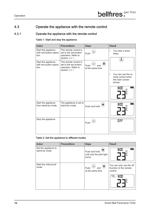#### 4.3 Operate the appliance with the remote control

#### 4.3.1 Operate the appliance with the remote control

#### Table 1: Start and stop the appliance

| <b>Action</b>                                         | <b>Preconditions</b>                                                                       | <b>Steps</b>                                  | <b>Result</b>                                                                                                        |
|-------------------------------------------------------|--------------------------------------------------------------------------------------------|-----------------------------------------------|----------------------------------------------------------------------------------------------------------------------|
| Start the appliance<br>with one-button opera-<br>tion | The remote control is<br>set to the one-button<br>operation. Refer to<br>section $4.2.1$ . | $\bigcirc$<br>Push                            | You hear a short<br>beep.                                                                                            |
| Start the appliance<br>with two-button opera-<br>tion | The remote control is<br>set to the two-button<br>operation. Refer to<br>section $4.2.1$ . | $\bigcirc$<br>Push<br>and<br>at the same time | You can use the re-<br>mote control when<br>the main screen<br>shows<br>H:TH<br>H:TH<br>$\widehat{\widehat{\Gamma}}$ |
|                                                       |                                                                                            |                                               |                                                                                                                      |
| Start the appliance<br>from stand-by mode             | The appliance is set to<br>stand-by mode.                                                  | Push and hold                                 | 899<br>$\widehat{\widehat{\mathsf{P}}}_\mathsf{L}$                                                                   |
| Stop the appliance                                    |                                                                                            | Push                                          | HFF                                                                                                                  |

#### Table 2: Set the appliance to different modes

| <b>Action</b>                         | <b>Preconditions</b> | <b>Steps</b>                                         | <b>Result</b>     |
|---------------------------------------|----------------------|------------------------------------------------------|-------------------|
| Set the appliance to<br>stand-by mode |                      | Push and hold<br>until only the pilot light<br>burns | <b>B:NN</b><br>∕≅ |



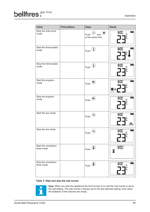| <b>Action</b>                     | <b>Preconditions</b> | <b>Steps</b>                                               | <b>Result</b>                                    |
|-----------------------------------|----------------------|------------------------------------------------------------|--------------------------------------------------|
| Stop the child proof<br>mode      |                      | $\overline{\mathsf{G}}$<br>Push<br>and<br>at the same time | <b>H:TH</b><br>$\widehat{\widehat{\Gamma}}$      |
| Start the thermostatic<br>mode    |                      | $\bigcup$<br>Push                                          | <b>B:00</b><br>$\mathring{\mathbb{F}}$           |
| Stop the thermostatic<br>mode     |                      | Push                                                       | <b>H:NN</b><br>$\widehat{\widehat{\mathsf{H}}}$  |
| Start the program<br>mode         |                      | $\bigcirc$<br>Push                                         | <b>H:HH</b><br>$\Gamma$<br>$D$ or $D$<br>ஜ       |
| Stop the program<br>mode          |                      | Push                                                       | <b>H:TH</b><br>$\widehat{\widehat{\circ}}$       |
| Start the eco mode                |                      | ∧∧<br>Push                                                 | <b>H:11</b><br>$\overline{\Gamma}^{\circ}$<br>⊚© |
| Stop the eco mode                 |                      | Push                                                       | 即出<br>$\widehat{\partial}$                       |
| Start the countdown<br>timer mode |                      | Push                                                       |                                                  |

#### Table 3: Start and stop the rear burner



Note: When you start the appliance the front burner is on and the rear burner is set to the last setting. The rear burner is always set to the last selected setting, even when the batteries of the receiver are empty.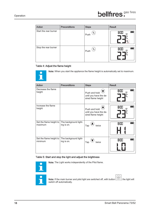| <b>Action</b>         | <b>Preconditions</b> | <b>Steps</b> | <b>Result</b>                                       |
|-----------------------|----------------------|--------------|-----------------------------------------------------|
| Start the rear burner |                      | ት<br>Push    | <b>H:TIT</b><br>IZZ.<br>$\widehat{\widehat{\circ}}$ |
| Stop the rear burner  |                      | ኍ<br>Push    | 8:00<br>八八<br><u>ී</u>                              |

#### Table 4: Adjust the flame height



Note: When you start the appliance the flame height is automatically set to maximum.

| <b>Action</b>                      | <b>Preconditions</b>                | <b>Steps</b>                                                  | <b>Result</b>                                   |
|------------------------------------|-------------------------------------|---------------------------------------------------------------|-------------------------------------------------|
| Decrease the flame<br>height       |                                     | Push and hold<br>until you have the de-<br>sired flame height | <b>H:TH</b><br>$\widehat{\widehat{\circ}}$<br>E |
| Increase the flame<br>height       |                                     | Push and hold<br>until you have the de-<br>sired flame height | <b>H:TH</b><br>నే                               |
| Set the flame height to<br>maximum | The background light-<br>ing is on. | Tap<br>twice                                                  | <b>R:00</b>                                     |
| Set the flame height to<br>minimum | The background light-<br>ing is on. | Tap<br>twice                                                  | <b>H:HH</b>                                     |

Note: If the main burner and pilot light are switched off, with button  $(\bigcirc)$ , the light will switch off automatically switch off automatically.

#### Table 5: Start and stop the light and adjust the brightness



Note: The Light works independently of the Pilot flame.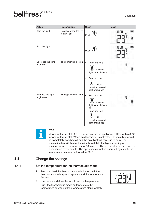| <b>Action</b>                    | <b>Preconditions</b>                    | <b>Steps</b>                                                                                                                                            | <b>Result</b> |
|----------------------------------|-----------------------------------------|---------------------------------------------------------------------------------------------------------------------------------------------------------|---------------|
| Start the light                  | Possible when the fire<br>is on or off. | Push                                                                                                                                                    | 8:00<br>อิ    |
| Stop the light                   |                                         | Push                                                                                                                                                    | 8:00<br>อิ    |
| Decrease the light<br>brightness | The light symbol is on.                 | $\bullet$<br>Push and hold<br>until the<br>light symbol flash-<br>es<br>Push and hold<br>$\bullet$<br>until you<br>have the desired<br>light brightness |               |
| Increase the light<br>brightness | The light symbol is on.                 | Push and hold<br>$\bullet$<br>until the<br>light symbol flash-<br>es<br>Push and hold<br>$\bullet$<br>until you<br>have the desired<br>light brightness |               |



#### Note:

Maximum thermostat 60°C.: The receiver in the appliance is fitted with a 60°C maximum thermostat. When this thermostat is activated, the main burner will be completely switched off and the pilot light will continue to burn. The convection fan will then automatically switch to the highest setting and continue to run for a maximum of 10 minutes. The temperature in the receiver is measured every minute. The appliance cannot be operated again until the temperature has returned to below 60°C.

#### 4.4 Change the settings

#### 4.4.1 Set the temperature for the thermostatic mode

- 1. Push and hold the thermostatic mode button until the thermostatic mode symbol appears and the temperature flashes.
- 2. Use the up and down buttons to set the temperature.
- 3. Push the thermostatic mode button to store the temperature or wait until the temperature stops to flash.

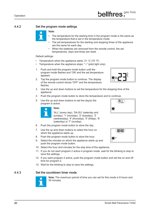

#### 4.4.2 Set the program mode settings

#### Note:

- The temperature for the starting time in the program mode is the same as the temperature that is set in the temperature mode.
- The set temperatures for the starting and stopping times of the appliance are the same for each day.
- When the batteries are removed from the remote control, the set temperatures, days and times are reset.

#### Default settings:

- Temperature when the appliance starts:  $21 \text{ °C}$  (70  $\text{°F}$ ).
- Temperature when the appliance stops: "--" (pilot light only).
- 1. Push and hold the program mode button until the program mode flashes and 'ON' and the set temperature appears.
- 2. Tap the program mode button to continue. The display of the remote control shows 'OFF' and the temperature flashes.
- 3. Use the up and down buttons to set the temperature for the stopping time of the appliance.
- 4. Push the program mode button to store the temperature and to continue.
- 5. Use the up and down buttons to set the day(s) the program is active.



#### Note:

'ALL' (every day), 'SA:SU' (saterday and sunday), '1' (monday), '2' (tuesday), '3' (wednesday), '4' (thursday), '5' (friday), '6' (saterday) or '7' (sunday).

- 6. Push the program mode button to store the day.
- 7. Use the up and down buttons to select the hour on which the appliance starts up.
- 8. Push the program mode button to store the hour.
- 9. Select the minutes on which the appliance starts up and push the program mode button.
- 10. Select the hour and minutes for the stop time of the appliance.
- 11. If you do not want program 2 active in program mode, wait for the blinking to stop to save the settings.
- 12. If you want program 2 active, push the program mode button and set the on and off



- time for program 2.
- 13. Wait for the blinking to stop to save the settings.

#### 4.4.3 Set the countdown timer mode



Note: The maximum period of time you can set for this mode is 9 hours and 50 minutes.



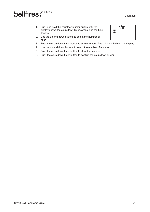- 1. Push and hold the countdown timer button until the display shows the countdown timer symbol and the hour flashes.
- 2. Use the up and down buttons to select the number of hour.



- 3. Push the countdown timer button to store the hour. The minutes flash on the display.
- 4. Use the up and down buttons to select the number of minutes.
- 5. Push the countdown timer button to store the minutes.
- 6. Push the countdown timer button to confirm the countdown or wait.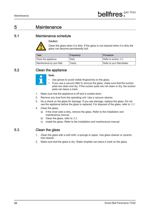## 5 Maintenance

#### 5.1 Maintenance schedule



Clean the glass when it is dirty. If the glass is not cleaned when it is dirty the glass can become permanently dull.

| <b>Task</b>                | Frequency | Procedure                   |
|----------------------------|-----------|-----------------------------|
| Clean the appliance        | Daily     | Refer to section 5.2        |
| Maintenance by your fitter | Yearly    | Refer to your fitter/dealer |

#### 5.2 Clean the appliance



#### Note:

- Use gloves to avoid visible fingerprints on the glass.
- If you use a vacuum lifter to remove the glass, make sure that the suction pads are clean and dry. If the suction pads are not clean or dry, the suction pads can leave a mark.
- 1. Make sure that the appliance is off and is cooled down.
- 2. Remove any dust from the operating unit. Use a vacuum cleaner.
- 3. Do a check on the glass for damage. If you see damage, replace the glass. Do not use the appliance before the glass is replaced. For disposal of the glass, refer to  $3.3$ .
- 4. Clean the glass.
	- a) If the inner side is dirty, remove the glass. Refer to the Installation and maintenance manual.
	- b) Clean the glass, refer to  $5.3$ .
	- c) Install the glass. Refer to the Installation and maintenance manual.

#### 5.3 Clean the glass

- 1. Clean the glass with a soft cloth, a sponge or paper. Use glass cleaner or ceramic hob cleaner.
- 2. Make sure that the glass is dry. Water droplets can leave a mark on the glass.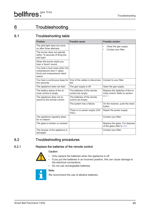## 6 Troubleshooting

#### 6.1 Troubleshooting table

| Problem                                                                                                 | Possible cause                                    | <b>Possible solution</b>                                           |
|---------------------------------------------------------------------------------------------------------|---------------------------------------------------|--------------------------------------------------------------------|
| The pilot light does not come<br>on after three attempts.                                               |                                                   | Close the gas supply<br>Contact your fitter.                       |
| The burner does not operate<br>within 10 seconds of firing the<br>pilot light.                          |                                                   |                                                                    |
| When the burner starts you<br>hear a 'boom' sound.                                                      |                                                   |                                                                    |
| You hear a loud noise when the<br>overpressure door (= glass<br>front) and overpressure hatch<br>opens. |                                                   |                                                                    |
| You hear a continuous beep for<br>five seconds.                                                         | One of the cables is disconnec-<br>ted.           | Contact to your fitter.                                            |
| The appliance does not start.                                                                           | The gas supply is off.                            | Open the gas supply.                                               |
| The battery status of the re-<br>mote control is empty                                                  | The batteries of the remote<br>control are empty. | Replace the batteries of the re-<br>mote control. Refer to section |
| The appliance does not re-<br>spond to the remote control.                                              | The batteries of the remote<br>control are empty. | 6.2.1                                                              |
|                                                                                                         | The system has a failure.                         | On the receiver, push the reset<br>button.                         |
|                                                                                                         | There is no power supply (230<br>VAC).            | Repair the power supply.                                           |
| The appliance regularly stops<br>for no reason.                                                         |                                                   | Contact your fitter.                                               |
| The glass is broken or cracked                                                                          |                                                   | Replace the glass. For disposal<br>of the glass refer to 3.3.      |
| The lacquer of the appliance is<br>damaged                                                              |                                                   | Contact your fitter.                                               |

#### 6.2 Troubleshooting procedures

#### 6.2.1 Replace the batteries of the remote control



- Caution:
- Only replace the batteries when the appliance is off.
- If you put the batteries in an incorrect position, this can cause damage to
- the electrical connections.
- Do not use rechargeable batteries.



We recommend the use of alkaline batteries.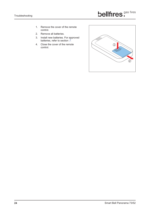- 1. Remove the cover of the remote control.
- 2. Remove all batteries.
- 3. Install new batteries. For approved batteries, refer to section 7.
- 4. Close the cover of the remote control.

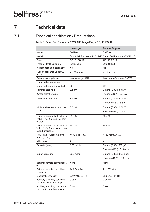## 7 Technical data

#### 7.1 Technical specification / Product fiche

Table 6: Smart Bell Panorama 73/52 MF (MagniFire) - GB, IE, ES, IT

|                                                                                         | <b>Natural gas</b>             | <b>Butane/ Propane</b>            |
|-----------------------------------------------------------------------------------------|--------------------------------|-----------------------------------|
| Name                                                                                    | <b>Bellfires</b>               | <b>Bellfires</b>                  |
| Model                                                                                   | Smart Bell Panorama 73/52 MF   | Smart Bell Panorama 73/52 MF      |
| Country                                                                                 | GB, IE, ES, IT                 | GB, IE, ES, IT                    |
| Product identification no                                                               | 0063CM3684                     | 0063CM3684                        |
| Indirect heating functionality                                                          | <b>No</b>                      | <b>No</b>                         |
| Type of appliance under CE-<br>norm                                                     | $C_{11}$ / $C_{31}$ / $C_{91}$ | $C_{11}$ / $C_{31}$ / $C_{91}$    |
| Category of appliance                                                                   | $I_{2H}$ natural gas G20       | $I_{3B/P}$ butane/propane G30/G31 |
| Energy efficiency class                                                                 | B                              | B                                 |
| Energy efficiency index (EEI)                                                           | 86                             | 86                                |
| Nominal heat input                                                                      | 9.1 kW                         | Butane (G30): 8.3 kW              |
| (Gross calorific value)                                                                 |                                | Propane (G31): 6.9 kW             |
| Nominal heat output                                                                     | 7.2 kW                         | Butane (G30): 6.7 kW              |
|                                                                                         |                                | Propane (G31): 5.6 kW             |
| Minimum heat output (indica-                                                            | 3.5 kW                         | Butane (G30): 2.7 kW              |
| tive)                                                                                   |                                | Propane (G31): 2.2 kW             |
| Useful efficiency (Net Calorific<br>Value (NCV)) at nominal heat<br>output              | 88.3 %                         | 89.4 %                            |
| Useful efficiency (Net Calorific<br>Value (NCV)) at minimum heat<br>output (indicative) | 84.1 %                         | 84.5 %                            |
| $NOX$ (max.) (Gross Calorific<br>Value (GCV))                                           | <130 mg/kWh <sub>input</sub>   | <130 mg/kWh <sub>input</sub>      |
| $NOX$ class                                                                             | $\overline{4}$                 | $\overline{4}$                    |
| Gas rate (max.)                                                                         | 0.86 $\rm m_{s}^{3}/\rm hr$ .  | Butane (G30): 630 gr/hr.          |
|                                                                                         |                                | Propane (G31): 510 gr/hr.         |
| Supply pressure                                                                         | 20.0 mbar                      | Butane (G30): 37.0 mbar           |
|                                                                                         |                                | Propane $(G31): 37.0$ mbar        |
| Batteries remote control receiv-<br>er                                                  | <b>None</b>                    | <b>None</b>                       |
| Batteries remote control hand<br>transmitter                                            | 2x 1.5V AAA                    | 2x 1.5V AAA                       |
| <b>Electrical connection</b>                                                            | 230 VAC / 50 Hz                | 230 VAC / 50 Hz                   |
| Auxiliary electricity consump-<br>tion at nominal heat output                           | 0.05 kW                        | 0.05 kW                           |
| Auxiliary electricity consump-<br>tion at minimum heat output                           | 0 kW                           | 0 kW                              |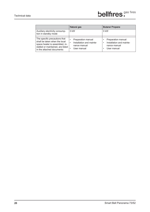|                                                                                                                                                                     | Natural gas                                                                                | <b>Butane/Propane</b>                                                                      |
|---------------------------------------------------------------------------------------------------------------------------------------------------------------------|--------------------------------------------------------------------------------------------|--------------------------------------------------------------------------------------------|
| Auxiliary electricity consump-<br>tion in standby mode                                                                                                              | 0 kW                                                                                       | 0 kW                                                                                       |
| The specific precautions that<br>shall be taken when the local<br>space heater is assembled, in-<br>stalled or maintained, are listed<br>in the attached documents: | Preparation manual<br>$\bullet$<br>Installation and mainte-<br>nance manual<br>User manual | Preparation manual<br>Installation and mainte-<br>$\bullet$<br>nance manual<br>User manual |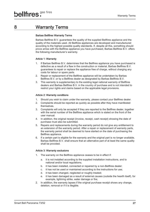## 8 Warranty Terms

#### Barbas Bellfires Warranty Terms

Barbas Bellfires B.V. guarantees the quality of the supplied Bellfires appliance and the quality of the materials used. All Bellfires appliances are developed and manufactured according to the highest possible quality standards. If, despite all this, something should prove amiss with the Bellfires appliance you have purchased, Barbas Bellfires B.V. offers the following manufacturer's warranty.

#### Article 1: Warranty

- 1. If Barbas Bellfires B.V. determines that the Bellfires appliance you have purchased is defective as a result of a flaw in the construction or material, Barbas Bellfires B.V. guarantees to repair or replace the appliance free of charge, without charging any costs for labour or spare parts.
- 2. Repair or replacement of the Bellfires appliance will be undertaken by Barbas Bellfires B.V. or by a Bellfires dealer as designated by Barbas Bellfires B.V.
- 3. This warranty is supplementary to the existing legal national warranty of Bellfires dealers and Barbas Bellfires B.V. in the country of purchase and is not intended to restrict your rights and claims based on the applicable legal provisions.

#### Article 2: Warranty conditions

- 1. Should you wish to claim under the warranty, please contact your Bellfires dealer.
- 2. Complaints should be reported as quickly as possible after they have manifested themselves.
- 3. Complaints will only be accepted if they are reported to the Bellfires dealer, together with the serial number of the Bellfires appliance which is stated on the front of the user manual.
- 4. In addition, the original receipt (invoice, receipt, cash receipt) showing the date of purchase must also be submitted.
- 5. Repairs and replacements during the warranty period do not give any entitlement to an extension of the warranty period. After a repair or replacement of warranty parts, the warranty period shall be deemed to have started on the date of purchasing the Bellfires appliance.
- 6. If a certain part is eligible for the warranty and the original part is no longer available, Barbas Bellfires B.V. shall ensure that an alternative part of at least the same quality shall be provided.

#### Article 3: Warranty exclusions

- 1. The warranty on the Bellfires appliance ceases to be in effect if:
	- a. it is not installed according to the supplied installation instructions, and to national and/or local regulations;
	- b. it has been installed, connected or repaired by a non-Bellfires dealer;
	- c. it has not be used or maintained according to the instructions for use;
	- d. it has been changed, neglected or roughly treated;
	- e. it has been damaged as a result of external causes (outside the hearth itself), for example, lightning strike, water damage or fire;
- 2. In addition, the warranty lapses if the original purchase receipt shows any change, deletion, removal or if it is illegible.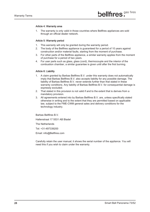#### Article 4: Warranty area

1. The warranty is only valid in those countries where Bellfires appliances are sold through an official dealer network.

#### Article 5: Warranty period

- 1. This warranty will only be granted during the warranty period.
- 2. The body of the Bellfires appliance is guaranteed for a period of 10 years against construction and/or material faults, starting from the moment of purchase.
- 3. For other parts of the Bellfires appliance, a similar warranty applies from the moment of purchase for a period of two years.
- 4. For user parts such as glass, glass (cord), thermocouple and the interior of the combustion chamber, a similar guarantee is given until after the first burning.

#### Article 6: Liability

- 1. A claim granted by Barbas Bellfires B.V. under this warranty does not automatically imply that Barbas Bellfires B.V. also accepts liability for any possible damage. The liability of Barbas Bellfires B.V. never extends further than that stated in these warranty conditions. Any liability of Barbas Bellfires B.V. for consequential damage is expressly excluded.
- 2. That stated in this provision is not valid if and to the extent that is derives from a mandatory provision.
- 3. All agreements entered into by Barbas Bellfires B.V. are, unless specifically stated otherwise in writing and to the extent that they are permitted based on applicable law, subject to the FME-CWM general sales and delivery conditions for the technology industry.

Barbas Bellfires B.V.

Hallenstraat 17 5531 AB Bladel

The Netherlands

Tel: +31-497339200

Email: info@Bellfires.com

Carefully retain the user manual; it shows the serial number of the appliance. You will need this if you wish to claim under the warranty.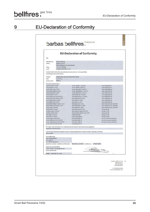## 9 EU-Declaration of Conformity

|                                                                                                                                                                                                                                                                                                                                                                                                                                                                                                     |                                                                                                                                                                                                                               | barbas bellfires.                                                                                                                                                                                                                                                                                                                                                                                                                                                                                                                                                                                                                       |                                                                                                                                                                                                                                                                                                                                                                                                                                                                                                                |
|-----------------------------------------------------------------------------------------------------------------------------------------------------------------------------------------------------------------------------------------------------------------------------------------------------------------------------------------------------------------------------------------------------------------------------------------------------------------------------------------------------|-------------------------------------------------------------------------------------------------------------------------------------------------------------------------------------------------------------------------------|-----------------------------------------------------------------------------------------------------------------------------------------------------------------------------------------------------------------------------------------------------------------------------------------------------------------------------------------------------------------------------------------------------------------------------------------------------------------------------------------------------------------------------------------------------------------------------------------------------------------------------------------|----------------------------------------------------------------------------------------------------------------------------------------------------------------------------------------------------------------------------------------------------------------------------------------------------------------------------------------------------------------------------------------------------------------------------------------------------------------------------------------------------------------|
|                                                                                                                                                                                                                                                                                                                                                                                                                                                                                                     |                                                                                                                                                                                                                               | <b>EU-Declaration of Conformity</b>                                                                                                                                                                                                                                                                                                                                                                                                                                                                                                                                                                                                     |                                                                                                                                                                                                                                                                                                                                                                                                                                                                                                                |
| We                                                                                                                                                                                                                                                                                                                                                                                                                                                                                                  |                                                                                                                                                                                                                               |                                                                                                                                                                                                                                                                                                                                                                                                                                                                                                                                                                                                                                         |                                                                                                                                                                                                                                                                                                                                                                                                                                                                                                                |
| Manufacturer<br>Adress<br>Phone<br>email                                                                                                                                                                                                                                                                                                                                                                                                                                                            | <b>Barbas Bellfires</b><br>Hallenstraat 17<br>5531 AB Bladel; The Netherlands<br>+31 497 339 200<br>info@barbasbellfires.com                                                                                                  |                                                                                                                                                                                                                                                                                                                                                                                                                                                                                                                                                                                                                                         |                                                                                                                                                                                                                                                                                                                                                                                                                                                                                                                |
|                                                                                                                                                                                                                                                                                                                                                                                                                                                                                                     | declare that this declaration of conformity is issued under our sole responsibility<br>and belongs to the product below:                                                                                                      |                                                                                                                                                                                                                                                                                                                                                                                                                                                                                                                                                                                                                                         |                                                                                                                                                                                                                                                                                                                                                                                                                                                                                                                |
| Product:<br>Type:<br>Product name:                                                                                                                                                                                                                                                                                                                                                                                                                                                                  | Independent gas-fired convection heater<br>$C_{11}/C_{31}/C_{01}$<br><b>Bellfires</b>                                                                                                                                         |                                                                                                                                                                                                                                                                                                                                                                                                                                                                                                                                                                                                                                         |                                                                                                                                                                                                                                                                                                                                                                                                                                                                                                                |
| Description of the product:<br>Horizon Bell XXL 3 CF/LF<br>Horizon Bell XL 3 CF/LF<br>Horizon Bell Large 3 CF/LF<br>Horizon Bell Medium 3 CF/LF<br>Horizon Bell Small 3 CF/LF<br>Horizon Bell XS 3 CF/LF<br>Vertical Bell Medium 3 CF/LF<br>Vertical Bell Small 3 CF/LF<br>Derby Large 3 CF/LF/PF<br>Derby Small 3 CF/LF/PF<br>Topsham Large 3 CF/LF/PF<br>Topsham Small 3 CF/LF<br>York Large 3 CF/LF/PF<br>York Small 3 CF/LF/PF<br>Derby Large Tunnel 3 CF/LF<br>Corner Bell York 3 L/R CF/LF/PF | Horizon Bell Large Tunnel 3 CF/LF<br>Horizon Bell Small Tunnel 3 CF/LF<br>Vertical Bell Medium Tunnel 3 CF/LF<br>Vertical Bell Small Tunnel 3 CF/LF<br>Corner Bell Derby 3 L/R CF/LF/PF<br>Corner Bell Topsham 3 L/R CF/LF/PF | Corner Bell XXL 3 L/R CF/LF<br>Corner Bell XL 3 L/R CF/LF<br>Corner Bell Large 3 L/R CF/LF<br>Corner Bell Medium 3 L/R CF/LF<br>Corner Bell Small 3 L/R CF/LF<br>View Bell Derby 3 CF/LF/PF<br>View Bell Topsham 3 CF/LF/PF<br>View Bell York 3 CF/LF/PF<br>View Bell XXL 3 CF/LF<br>View Bell XL 3 CF/LF<br>View Bell Large 3 CF/LF<br>View Bell Medium 3 CF/LF<br>View Bell Small 3 CF/LF<br>View Bell Vertical 3 CF/LF<br>Room Divider Large 3 L/R CF/LF<br>Room Divider Medium 3 L/R CF/LF<br>Classic Bell Small<br>Classic Bell Medium<br>Smart Bell 80/80 PF<br>Smart Bell 90/80 PF<br>Smart Bell 75/80 PF<br>Smart Bell 80/70 PF | Smart Bell 90/70 PF<br>Smart Bell 75/70 PF<br>Smart Bell 80/60 MF<br>Smart Bell 75/60 MF<br>Smart Bell 75/55 MF<br>Smart Bell 65/60 MF<br>Smart Bell 65/55 MF<br>Smart Bell 55/60 MF<br>Smart Bell 55/55 MF<br>Smart Bell 45/60 MF<br>Smart Bell Panorama 45/45 MF<br>Smart Bell Panorama 45/59 MF<br>Smart Bell Panorama 73/52 MF<br>Box Gas 80 MF<br>Box Gas 75 MF<br>Box Gas 65 MF<br>Box Gas 55 MF<br>Box Gas 45 MF<br>Box Gas Panorama 45/45 MF<br>Box Gas Panorama 45/59 MF<br>Box Gas Panorama 73/52 MF |
| Regulation (EU) 2016/426                                                                                                                                                                                                                                                                                                                                                                                                                                                                            |                                                                                                                                                                                                                               | The object of this declaration is in conformity with the relevant Union harmonisation legislation:                                                                                                                                                                                                                                                                                                                                                                                                                                                                                                                                      |                                                                                                                                                                                                                                                                                                                                                                                                                                                                                                                |
| EN 613:2000                                                                                                                                                                                                                                                                                                                                                                                                                                                                                         |                                                                                                                                                                                                                               | Used relevant harmonised standards or other technical specifications in relation to which conformity is declared:                                                                                                                                                                                                                                                                                                                                                                                                                                                                                                                       |                                                                                                                                                                                                                                                                                                                                                                                                                                                                                                                |
| The notified body:<br>Kiwa Nederland BV<br>P.O. Box 137<br>NL-7300 AC Apeldoorn                                                                                                                                                                                                                                                                                                                                                                                                                     |                                                                                                                                                                                                                               |                                                                                                                                                                                                                                                                                                                                                                                                                                                                                                                                                                                                                                         |                                                                                                                                                                                                                                                                                                                                                                                                                                                                                                                |
| Signed for and on behalf of:<br>(name and function)                                                                                                                                                                                                                                                                                                                                                                                                                                                 | performed a product verification and issued on<br>Danny Baijens, managing director                                                                                                                                            | November 21, 2018<br>certificate no: 17GR0140/01                                                                                                                                                                                                                                                                                                                                                                                                                                                                                                                                                                                        |                                                                                                                                                                                                                                                                                                                                                                                                                                                                                                                |

The Netherlands  $\footnotesize \begin{array}{c} \text{T +31 (0)497 339 200}\\ \text{www.barbasbellftres.com} \end{array}$